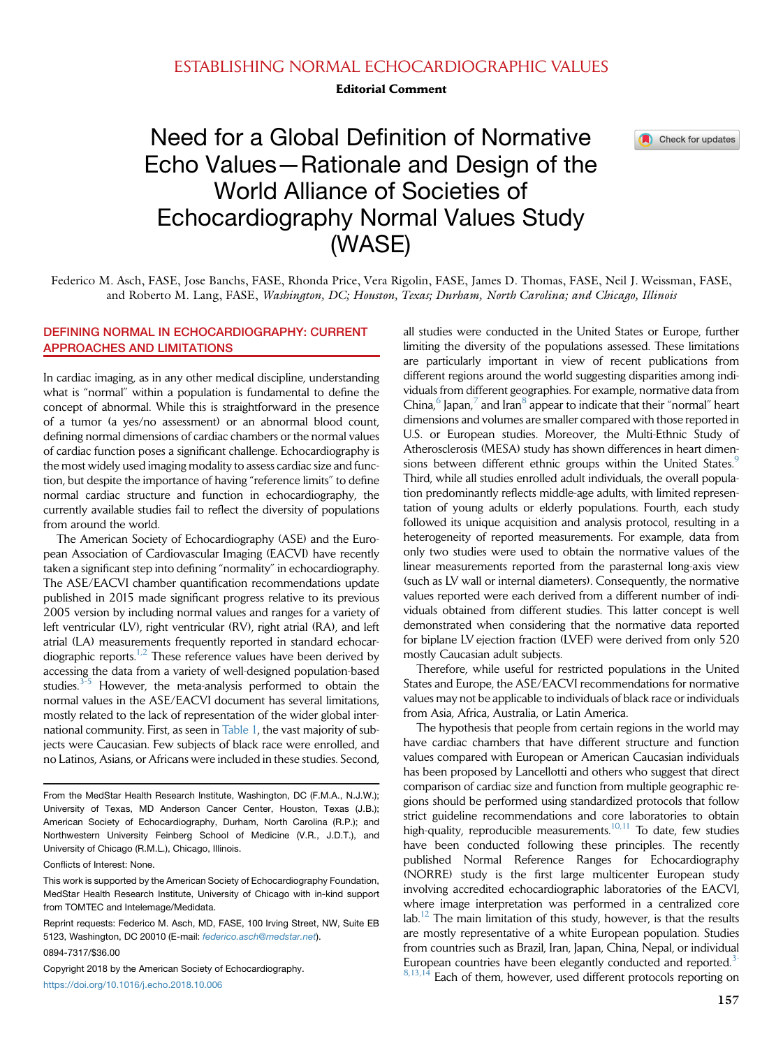Editorial Comment

# Need for a Global Definition of Normative Echo Values—Rationale and Design of the World Alliance of Societies of Echocardiography Normal Values Study (WASE)



Federico M. Asch, FASE, Jose Banchs, FASE, Rhonda Price, Vera Rigolin, FASE, James D. Thomas, FASE, Neil J. Weissman, FASE, and Roberto M. Lang, FASE, Washington, DC; Houston, Texas; Durham, North Carolina; and Chicago, Illinois

## DEFINING NORMAL IN ECHOCARDIOGRAPHY: CURRENT APPROACHES AND LIMITATIONS

In cardiac imaging, as in any other medical discipline, understanding what is "normal" within a population is fundamental to define the concept of abnormal. While this is straightforward in the presence of a tumor (a yes/no assessment) or an abnormal blood count, defining normal dimensions of cardiac chambers or the normal values of cardiac function poses a significant challenge. Echocardiography is the most widely used imaging modality to assess cardiac size and function, but despite the importance of having ''reference limits'' to define normal cardiac structure and function in echocardiography, the currently available studies fail to reflect the diversity of populations from around the world.

The American Society of Echocardiography (ASE) and the European Association of Cardiovascular Imaging (EACVI) have recently taken a significant step into defining ''normality'' in echocardiography. The ASE/EACVI chamber quantification recommendations update published in 2015 made significant progress relative to its previous 2005 version by including normal values and ranges for a variety of left ventricular (LV), right ventricular (RV), right atrial (RA), and left atrial (LA) measurements frequently reported in standard echocardiographic reports.[1,2](#page-4-0) These reference values have been derived by accessing the data from a variety of well-designed population-based studies. $3-5$  However, the meta-analysis performed to obtain the normal values in the ASE/EACVI document has several limitations, mostly related to the lack of representation of the wider global international community. First, as seen in [Table 1,](#page-1-0) the vast majority of subjects were Caucasian. Few subjects of black race were enrolled, and no Latinos, Asians, or Africans were included in these studies. Second,

From the MedStar Health Research Institute, Washington, DC (F.M.A., N.J.W.); University of Texas, MD Anderson Cancer Center, Houston, Texas (J.B.); American Society of Echocardiography, Durham, North Carolina (R.P.); and Northwestern University Feinberg School of Medicine (V.R., J.D.T.), and University of Chicago (R.M.L.), Chicago, Illinois.

Conflicts of Interest: None.

0894-7317/\$36.00

Copyright 2018 by the American Society of Echocardiography. <https://doi.org/10.1016/j.echo.2018.10.006>

all studies were conducted in the United States or Europe, further limiting the diversity of the populations assessed. These limitations are particularly important in view of recent publications from different regions around the world suggesting disparities among individuals from different geographies. For example, normative data from China, $6$  Japan, $7$  and Iran $8$  appear to indicate that their "normal" heart dimensions and volumes are smaller compared with those reported in U.S. or European studies. Moreover, the Multi-Ethnic Study of Atherosclerosis (MESA) study has shown differences in heart dimen-sions between different ethnic groups within the United States.<sup>[9](#page-4-0)</sup> Third, while all studies enrolled adult individuals, the overall population predominantly reflects middle-age adults, with limited representation of young adults or elderly populations. Fourth, each study followed its unique acquisition and analysis protocol, resulting in a heterogeneity of reported measurements. For example, data from only two studies were used to obtain the normative values of the linear measurements reported from the parasternal long-axis view (such as LV wall or internal diameters). Consequently, the normative values reported were each derived from a different number of individuals obtained from different studies. This latter concept is well demonstrated when considering that the normative data reported for biplane LV ejection fraction (LVEF) were derived from only 520 mostly Caucasian adult subjects.

Therefore, while useful for restricted populations in the United States and Europe, the ASE/EACVI recommendations for normative values may not be applicable to individuals of black race or individuals from Asia, Africa, Australia, or Latin America.

The hypothesis that people from certain regions in the world may have cardiac chambers that have different structure and function values compared with European or American Caucasian individuals has been proposed by Lancellotti and others who suggest that direct comparison of cardiac size and function from multiple geographic regions should be performed using standardized protocols that follow strict guideline recommendations and core laboratories to obtain high-quality, reproducible measurements.<sup>[10,11](#page-4-0)</sup> To date, few studies have been conducted following these principles. The recently published Normal Reference Ranges for Echocardiography (NORRE) study is the first large multicenter European study involving accredited echocardiographic laboratories of the EACVI, where image interpretation was performed in a centralized core  $\lambda$ <sup>12</sup> The main limitation of this study, however, is that the results are mostly representative of a white European population. Studies from countries such as Brazil, Iran, Japan, China, Nepal, or individual European countries have been elegantly conducted and reported. $3$  $8,13,14$  Each of them, however, used different protocols reporting on

This work is supported by the American Society of Echocardiography Foundation, MedStar Health Research Institute, University of Chicago with in-kind support from TOMTEC and Intelemage/Medidata.

Reprint requests: Federico M. Asch, MD, FASE, 100 Irving Street, NW, Suite EB 5123, Washington, DC 20010 (E-mail: *[federico.asch@medstar.net](mailto:federico.asch@medstar.net)*).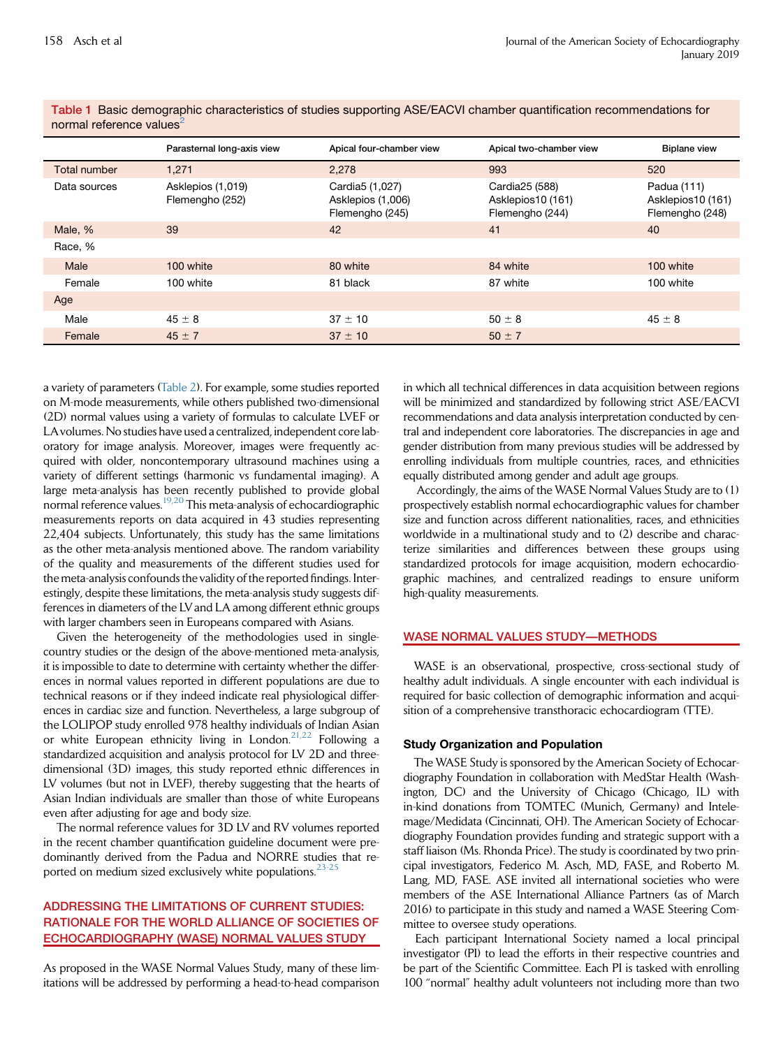|              | Parasternal long-axis view           | Apical four-chamber view                                | Apical two-chamber view                                 | <b>Biplane view</b>                                 |
|--------------|--------------------------------------|---------------------------------------------------------|---------------------------------------------------------|-----------------------------------------------------|
| Total number | 1,271                                | 2,278                                                   | 993                                                     | 520                                                 |
| Data sources | Asklepios (1,019)<br>Flemengho (252) | Cardia5 (1,027)<br>Asklepios (1,006)<br>Flemengho (245) | Cardia 25 (588)<br>Asklepios10 (161)<br>Flemengho (244) | Padua (111)<br>Asklepios10 (161)<br>Flemengho (248) |
| Male, %      | 39                                   | 42                                                      | 41                                                      | 40                                                  |
| Race, %      |                                      |                                                         |                                                         |                                                     |
| Male         | 100 white                            | 80 white                                                | 84 white                                                | 100 white                                           |
| Female       | 100 white                            | 81 black                                                | 87 white                                                | 100 white                                           |
| Age          |                                      |                                                         |                                                         |                                                     |
| Male         | $45 \pm 8$                           | $37 \pm 10$                                             | $50 \pm 8$                                              | $45 \pm 8$                                          |
| Female       | $45 \pm 7$                           | $37 \pm 10$                                             | $50 \pm 7$                                              |                                                     |

<span id="page-1-0"></span>Table 1 Basic demographic characteristics of studies supporting ASE/EACVI chamber quantification recommendations for normal reference values $2$ 

a variety of parameters [\(Table 2\)](#page-2-0). For example, some studies reported on M-mode measurements, while others published two-dimensional (2D) normal values using a variety of formulas to calculate LVEF or LAvolumes. No studies have used a centralized, independent core laboratory for image analysis. Moreover, images were frequently acquired with older, noncontemporary ultrasound machines using a variety of different settings (harmonic vs fundamental imaging). A large meta-analysis has been recently published to provide global normal reference values.[19,20](#page-4-0) This meta-analysis of echocardiographic measurements reports on data acquired in 43 studies representing 22,404 subjects. Unfortunately, this study has the same limitations as the other meta-analysis mentioned above. The random variability of the quality and measurements of the different studies used for the meta-analysis confounds the validity of the reported findings. Interestingly, despite these limitations, the meta-analysis study suggests differences in diameters of the LV and LA among different ethnic groups with larger chambers seen in Europeans compared with Asians.

Given the heterogeneity of the methodologies used in singlecountry studies or the design of the above-mentioned meta-analysis, it is impossible to date to determine with certainty whether the differences in normal values reported in different populations are due to technical reasons or if they indeed indicate real physiological differences in cardiac size and function. Nevertheless, a large subgroup of the LOLIPOP study enrolled 978 healthy individuals of Indian Asian or white European ethnicity living in London.<sup>[21,22](#page-5-0)</sup> Following a standardized acquisition and analysis protocol for LV 2D and threedimensional (3D) images, this study reported ethnic differences in LV volumes (but not in LVEF), thereby suggesting that the hearts of Asian Indian individuals are smaller than those of white Europeans even after adjusting for age and body size.

The normal reference values for 3D LV and RV volumes reported in the recent chamber quantification guideline document were predominantly derived from the Padua and NORRE studies that reported on medium sized exclusively white populations. $23-25$ 

## ADDRESSING THE LIMITATIONS OF CURRENT STUDIES: RATIONALE FOR THE WORLD ALLIANCE OF SOCIETIES OF ECHOCARDIOGRAPHY (WASE) NORMAL VALUES STUDY

As proposed in the WASE Normal Values Study, many of these limitations will be addressed by performing a head-to-head comparison in which all technical differences in data acquisition between regions will be minimized and standardized by following strict ASE/EACVI recommendations and data analysis interpretation conducted by central and independent core laboratories. The discrepancies in age and gender distribution from many previous studies will be addressed by enrolling individuals from multiple countries, races, and ethnicities equally distributed among gender and adult age groups.

Accordingly, the aims of the WASE Normal Values Study are to (1) prospectively establish normal echocardiographic values for chamber size and function across different nationalities, races, and ethnicities worldwide in a multinational study and to (2) describe and characterize similarities and differences between these groups using standardized protocols for image acquisition, modern echocardiographic machines, and centralized readings to ensure uniform high-quality measurements.

#### WASE NORMAL VALUES STUDY—METHODS

WASE is an observational, prospective, cross-sectional study of healthy adult individuals. A single encounter with each individual is required for basic collection of demographic information and acquisition of a comprehensive transthoracic echocardiogram (TTE).

#### Study Organization and Population

The WASE Study is sponsored by the American Society of Echocardiography Foundation in collaboration with MedStar Health (Washington, DC) and the University of Chicago (Chicago, IL) with in-kind donations from TOMTEC (Munich, Germany) and Intelemage/Medidata (Cincinnati, OH). The American Society of Echocardiography Foundation provides funding and strategic support with a staff liaison (Ms. Rhonda Price). The study is coordinated by two principal investigators, Federico M. Asch, MD, FASE, and Roberto M. Lang, MD, FASE. ASE invited all international societies who were members of the ASE International Alliance Partners (as of March 2016) to participate in this study and named a WASE Steering Committee to oversee study operations.

Each participant International Society named a local principal investigator (PI) to lead the efforts in their respective countries and be part of the Scientific Committee. Each PI is tasked with enrolling 100 ''normal'' healthy adult volunteers not including more than two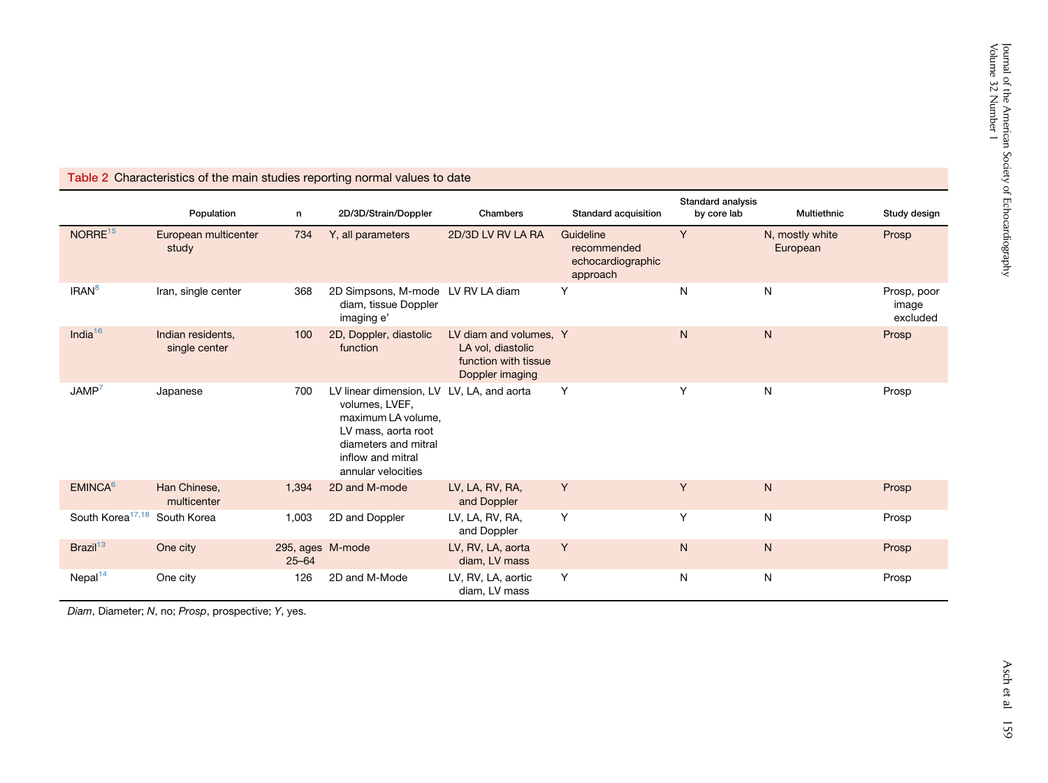|                              | Population                         | n                             | 2D/3D/Strain/Doppler                                                                                                                                      | Chambers                                                                               | Standard acquisition                                      | Standard analysis<br>by core lab | Multiethnic                 | Study design                     |
|------------------------------|------------------------------------|-------------------------------|-----------------------------------------------------------------------------------------------------------------------------------------------------------|----------------------------------------------------------------------------------------|-----------------------------------------------------------|----------------------------------|-----------------------------|----------------------------------|
| NORRE <sup>15</sup>          | European multicenter<br>study      | 734                           | Y, all parameters                                                                                                                                         | 2D/3D LV RV LA RA                                                                      | Guideline<br>recommended<br>echocardiographic<br>approach | Y                                | N, mostly white<br>European | Prosp                            |
| IRAN <sup>8</sup>            | Iran, single center                | 368                           | 2D Simpsons, M-mode<br>diam, tissue Doppler<br>imaging e'                                                                                                 | LV RV LA diam                                                                          | Y                                                         | N                                | N                           | Prosp, poor<br>image<br>excluded |
| India $16$                   | Indian residents.<br>single center | 100                           | 2D, Doppler, diastolic<br>function                                                                                                                        | LV diam and volumes, Y<br>LA vol. diastolic<br>function with tissue<br>Doppler imaging |                                                           | N                                | N <sub>1</sub>              | Prosp                            |
| JAMP <sup>7</sup>            | Japanese                           | 700                           | LV linear dimension, LV<br>volumes, LVEF,<br>maximum LA volume,<br>LV mass, aorta root<br>diameters and mitral<br>inflow and mitral<br>annular velocities | LV, LA, and aorta                                                                      | Y                                                         | Y                                | N                           | Prosp                            |
| EMINCA <sup>6</sup>          | Han Chinese,<br>multicenter        | 1,394                         | 2D and M-mode                                                                                                                                             | LV, LA, RV, RA,<br>and Doppler                                                         | Y                                                         | Y                                | N <sub>1</sub>              | Prosp                            |
| South Korea <sup>17,18</sup> | South Korea                        | 1,003                         | 2D and Doppler                                                                                                                                            | LV, LA, RV, RA,<br>and Doppler                                                         | Y                                                         | Y                                | Ν                           | Prosp                            |
| Brazil $13$                  | One city                           | 295, ages M-mode<br>$25 - 64$ |                                                                                                                                                           | LV, RV, LA, aorta<br>diam, LV mass                                                     | Y                                                         | N                                | N <sub>1</sub>              | Prosp                            |
| Nepal <sup>14</sup>          | One city                           | 126                           | 2D and M-Mode                                                                                                                                             | LV, RV, LA, aortic<br>diam, LV mass                                                    | Y                                                         | N                                | N                           | Prosp                            |

<span id="page-2-0"></span>Table 2 Characteristics of the main studies reporting normal values to date

*Diam*, Diameter; *N*, no; *Prosp*, prospective; *Y*, yes.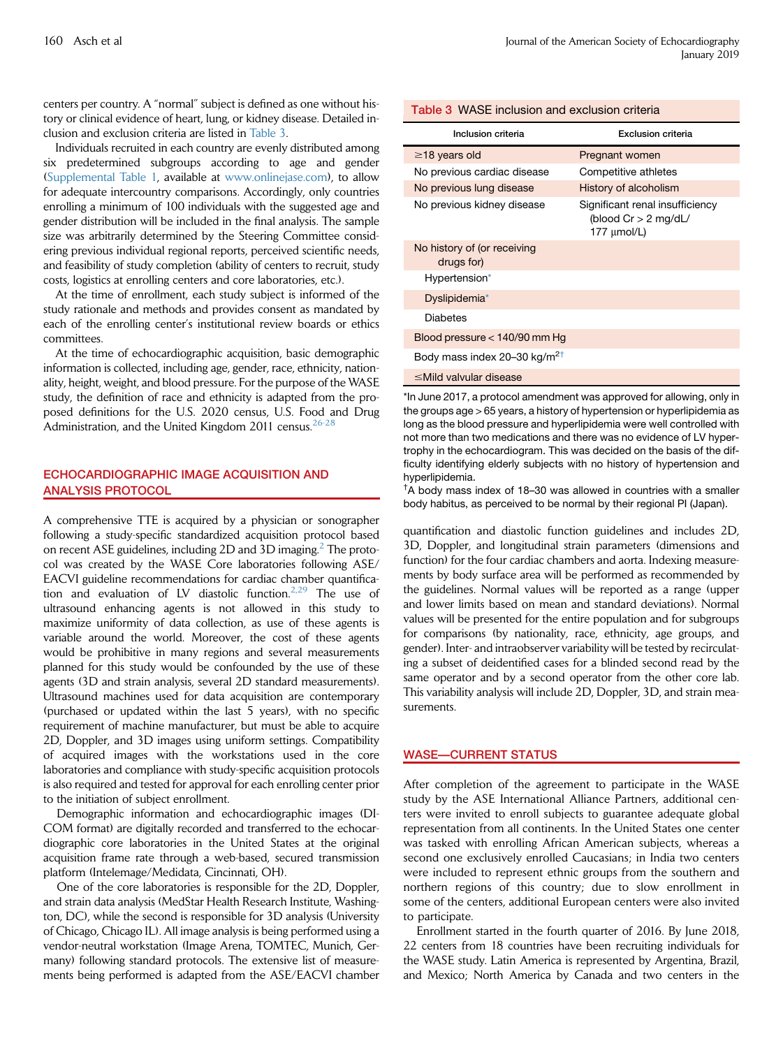centers per country. A ''normal'' subject is defined as one without history or clinical evidence of heart, lung, or kidney disease. Detailed inclusion and exclusion criteria are listed in Table 3.

Individuals recruited in each country are evenly distributed among six predetermined subgroups according to age and gender [\(Supplemental Table 1,](#page-6-0) available at [www.onlinejase.com\)](http://www.onlinejase.com), to allow for adequate intercountry comparisons. Accordingly, only countries enrolling a minimum of 100 individuals with the suggested age and gender distribution will be included in the final analysis. The sample size was arbitrarily determined by the Steering Committee considering previous individual regional reports, perceived scientific needs, and feasibility of study completion (ability of centers to recruit, study costs, logistics at enrolling centers and core laboratories, etc.).

At the time of enrollment, each study subject is informed of the study rationale and methods and provides consent as mandated by each of the enrolling center's institutional review boards or ethics committees.

At the time of echocardiographic acquisition, basic demographic information is collected, including age, gender, race, ethnicity, nationality, height, weight, and blood pressure. For the purpose of the WASE study, the definition of race and ethnicity is adapted from the proposed definitions for the U.S. 2020 census, U.S. Food and Drug Administration, and the United Kingdom 2011 census.<sup>[26-28](#page-5-0)</sup>

#### ECHOCARDIOGRAPHIC IMAGE ACQUISITION AND ANALYSIS PROTOCOL

A comprehensive TTE is acquired by a physician or sonographer following a study-specific standardized acquisition protocol based on recent ASE guidelines, including [2](#page-4-0)D and 3D imaging.<sup>2</sup> The protocol was created by the WASE Core laboratories following ASE/ EACVI guideline recommendations for cardiac chamber quantification and evaluation of LV diastolic function. $2,29$  The use of ultrasound enhancing agents is not allowed in this study to maximize uniformity of data collection, as use of these agents is variable around the world. Moreover, the cost of these agents would be prohibitive in many regions and several measurements planned for this study would be confounded by the use of these agents (3D and strain analysis, several 2D standard measurements). Ultrasound machines used for data acquisition are contemporary (purchased or updated within the last 5 years), with no specific requirement of machine manufacturer, but must be able to acquire 2D, Doppler, and 3D images using uniform settings. Compatibility of acquired images with the workstations used in the core laboratories and compliance with study-specific acquisition protocols is also required and tested for approval for each enrolling center prior to the initiation of subject enrollment.

Demographic information and echocardiographic images (DI-COM format) are digitally recorded and transferred to the echocardiographic core laboratories in the United States at the original acquisition frame rate through a web-based, secured transmission platform (Intelemage/Medidata, Cincinnati, OH).

One of the core laboratories is responsible for the 2D, Doppler, and strain data analysis (MedStar Health Research Institute, Washington, DC), while the second is responsible for 3D analysis (University of Chicago, Chicago IL). All image analysis is being performed using a vendor-neutral workstation (Image Arena, TOMTEC, Munich, Germany) following standard protocols. The extensive list of measurements being performed is adapted from the ASE/EACVI chamber

| Inclusion criteria                        | Exclusion criteria                                                       |
|-------------------------------------------|--------------------------------------------------------------------------|
| $\geq$ 18 years old                       | Pregnant women                                                           |
| No previous cardiac disease               | Competitive athletes                                                     |
| No previous lung disease                  | <b>History of alcoholism</b>                                             |
| No previous kidney disease                | Significant renal insufficiency<br>(blood $Cr > 2$ mg/dL/<br>177 µmol/L) |
| No history of (or receiving<br>drugs for) |                                                                          |
| Hypertension*                             |                                                                          |
| Dyslipidemia*                             |                                                                          |
| Diabetes                                  |                                                                          |
| Blood pressure < 140/90 mm Hg             |                                                                          |
| Body mass index 20-30 kg/m <sup>2+</sup>  |                                                                          |
| $\leq$ Mild valvular disease              |                                                                          |

\*In June 2017, a protocol amendment was approved for allowing, only in the groups age > 65 years, a history of hypertension or hyperlipidemia as long as the blood pressure and hyperlipidemia were well controlled with not more than two medications and there was no evidence of LV hypertrophy in the echocardiogram. This was decided on the basis of the difficulty identifying elderly subjects with no history of hypertension and hyperlipidemia.

† A body mass index of 18–30 was allowed in countries with a smaller body habitus, as perceived to be normal by their regional PI (Japan).

quantification and diastolic function guidelines and includes 2D, 3D, Doppler, and longitudinal strain parameters (dimensions and function) for the four cardiac chambers and aorta. Indexing measurements by body surface area will be performed as recommended by the guidelines. Normal values will be reported as a range (upper and lower limits based on mean and standard deviations). Normal values will be presented for the entire population and for subgroups for comparisons (by nationality, race, ethnicity, age groups, and gender). Inter- and intraobserver variability will be tested by recirculating a subset of deidentified cases for a blinded second read by the same operator and by a second operator from the other core lab. This variability analysis will include 2D, Doppler, 3D, and strain measurements.

#### WASE—CURRENT STATUS

After completion of the agreement to participate in the WASE study by the ASE International Alliance Partners, additional centers were invited to enroll subjects to guarantee adequate global representation from all continents. In the United States one center was tasked with enrolling African American subjects, whereas a second one exclusively enrolled Caucasians; in India two centers were included to represent ethnic groups from the southern and northern regions of this country; due to slow enrollment in some of the centers, additional European centers were also invited to participate.

Enrollment started in the fourth quarter of 2016. By June 2018, 22 centers from 18 countries have been recruiting individuals for the WASE study. Latin America is represented by Argentina, Brazil, and Mexico; North America by Canada and two centers in the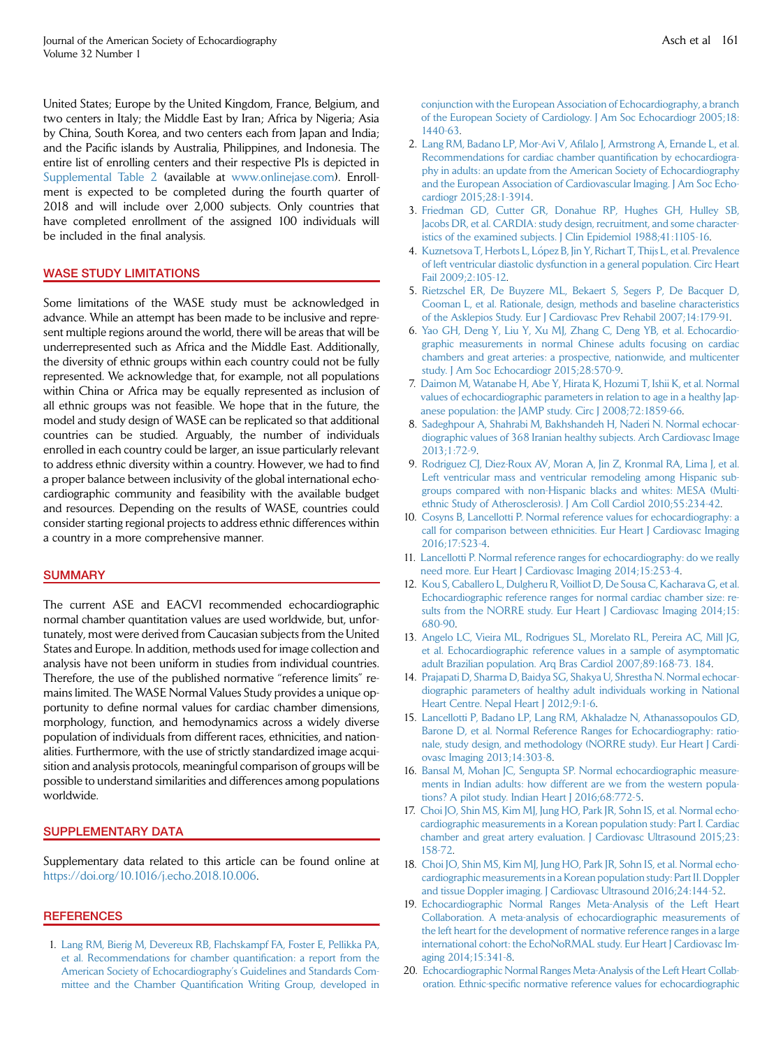<span id="page-4-0"></span>United States; Europe by the United Kingdom, France, Belgium, and two centers in Italy; the Middle East by Iran; Africa by Nigeria; Asia by China, South Korea, and two centers each from Japan and India; and the Pacific islands by Australia, Philippines, and Indonesia. The entire list of enrolling centers and their respective PIs is depicted in [Supplemental Table 2](#page-7-0) (available at [www.onlinejase.com\)](http://www.onlinejase.com). Enrollment is expected to be completed during the fourth quarter of 2018 and will include over 2,000 subjects. Only countries that have completed enrollment of the assigned 100 individuals will be included in the final analysis.

#### WASE STUDY LIMITATIONS

Some limitations of the WASE study must be acknowledged in advance. While an attempt has been made to be inclusive and represent multiple regions around the world, there will be areas that will be underrepresented such as Africa and the Middle East. Additionally, the diversity of ethnic groups within each country could not be fully represented. We acknowledge that, for example, not all populations within China or Africa may be equally represented as inclusion of all ethnic groups was not feasible. We hope that in the future, the model and study design of WASE can be replicated so that additional countries can be studied. Arguably, the number of individuals enrolled in each country could be larger, an issue particularly relevant to address ethnic diversity within a country. However, we had to find a proper balance between inclusivity of the global international echocardiographic community and feasibility with the available budget and resources. Depending on the results of WASE, countries could consider starting regional projects to address ethnic differences within a country in a more comprehensive manner.

#### **SUMMARY**

The current ASE and EACVI recommended echocardiographic normal chamber quantitation values are used worldwide, but, unfortunately, most were derived from Caucasian subjects from the United States and Europe. In addition, methods used for image collection and analysis have not been uniform in studies from individual countries. Therefore, the use of the published normative "reference limits" remains limited. The WASE Normal Values Study provides a unique opportunity to define normal values for cardiac chamber dimensions, morphology, function, and hemodynamics across a widely diverse population of individuals from different races, ethnicities, and nationalities. Furthermore, with the use of strictly standardized image acquisition and analysis protocols, meaningful comparison of groups will be possible to understand similarities and differences among populations worldwide.

#### SUPPLEMENTARY DATA

Supplementary data related to this article can be found online at [https://doi.org/10.1016/j.echo.2018.10.006.](https://doi.org/10.1016/j.echo.2018.10.006)

#### **REFERENCES**

1. [Lang RM, Bierig M, Devereux RB, Flachskampf FA, Foster E, Pellikka PA,](http://refhub.elsevier.com/S0894-7317(18)30573-X/sref1) [et al. Recommendations for chamber quantification: a report from the](http://refhub.elsevier.com/S0894-7317(18)30573-X/sref1) [American Society of Echocardiography's Guidelines and Standards Com](http://refhub.elsevier.com/S0894-7317(18)30573-X/sref1)[mittee and the Chamber Quantification Writing Group, developed in](http://refhub.elsevier.com/S0894-7317(18)30573-X/sref1)

[conjunction with the European Association of Echocardiography, a branch](http://refhub.elsevier.com/S0894-7317(18)30573-X/sref1) [of the European Society of Cardiology. J Am Soc Echocardiogr 2005;18:](http://refhub.elsevier.com/S0894-7317(18)30573-X/sref1) [1440-63](http://refhub.elsevier.com/S0894-7317(18)30573-X/sref1).

- 2. [Lang RM, Badano LP, Mor-Avi V, Afilalo J, Armstrong A, Ernande L, et al.](http://refhub.elsevier.com/S0894-7317(18)30573-X/sref2) [Recommendations for cardiac chamber quantification by echocardiogra](http://refhub.elsevier.com/S0894-7317(18)30573-X/sref2)[phy in adults: an update from the American Society of Echocardiography](http://refhub.elsevier.com/S0894-7317(18)30573-X/sref2) [and the European Association of Cardiovascular Imaging. J Am Soc Echo](http://refhub.elsevier.com/S0894-7317(18)30573-X/sref2)[cardiogr 2015;28:1-3914.](http://refhub.elsevier.com/S0894-7317(18)30573-X/sref2)
- 3. [Friedman GD, Cutter GR, Donahue RP, Hughes GH, Hulley SB,](http://refhub.elsevier.com/S0894-7317(18)30573-X/sref3) [Jacobs DR, et al. CARDIA: study design, recruitment, and some character](http://refhub.elsevier.com/S0894-7317(18)30573-X/sref3)[istics of the examined subjects. J Clin Epidemiol 1988;41:1105-16](http://refhub.elsevier.com/S0894-7317(18)30573-X/sref3).
- 4. Kuznetsova T, Herbots L, López B, Jin Y, Richart T, Thijs L, et al. Prevalence [of left ventricular diastolic dysfunction in a general population. Circ Heart](http://refhub.elsevier.com/S0894-7317(18)30573-X/sref4) [Fail 2009;2:105-12](http://refhub.elsevier.com/S0894-7317(18)30573-X/sref4).
- 5. [Rietzschel ER, De Buyzere ML, Bekaert S, Segers P, De Bacquer D,](http://refhub.elsevier.com/S0894-7317(18)30573-X/sref5) [Cooman L, et al. Rationale, design, methods and baseline characteristics](http://refhub.elsevier.com/S0894-7317(18)30573-X/sref5) [of the Asklepios Study. Eur J Cardiovasc Prev Rehabil 2007;14:179-91.](http://refhub.elsevier.com/S0894-7317(18)30573-X/sref5)
- 6. [Yao GH, Deng Y, Liu Y, Xu MJ, Zhang C, Deng YB, et al. Echocardio](http://refhub.elsevier.com/S0894-7317(18)30573-X/sref6)[graphic measurements in normal Chinese adults focusing on cardiac](http://refhub.elsevier.com/S0894-7317(18)30573-X/sref6) [chambers and great arteries: a prospective, nationwide, and multicenter](http://refhub.elsevier.com/S0894-7317(18)30573-X/sref6) [study. J Am Soc Echocardiogr 2015;28:570-9.](http://refhub.elsevier.com/S0894-7317(18)30573-X/sref6)
- 7. [Daimon M, Watanabe H, Abe Y, Hirata K, Hozumi T, Ishii K, et al. Normal](http://refhub.elsevier.com/S0894-7317(18)30573-X/sref7) [values of echocardiographic parameters in relation to age in a healthy Jap](http://refhub.elsevier.com/S0894-7317(18)30573-X/sref7)[anese population: the JAMP study. Circ J 2008;72:1859-66.](http://refhub.elsevier.com/S0894-7317(18)30573-X/sref7)
- 8. [Sadeghpour A, Shahrabi M, Bakhshandeh H, Naderi N. Normal echocar](http://refhub.elsevier.com/S0894-7317(18)30573-X/sref8)[diographic values of 368 Iranian healthy subjects. Arch Cardiovasc Image](http://refhub.elsevier.com/S0894-7317(18)30573-X/sref8) [2013;1:72-9](http://refhub.elsevier.com/S0894-7317(18)30573-X/sref8).
- 9. [Rodriguez CJ, Diez-Roux AV, Moran A, Jin Z, Kronmal RA, Lima J, et al.](http://refhub.elsevier.com/S0894-7317(18)30573-X/sref9) [Left ventricular mass and ventricular remodeling among Hispanic sub](http://refhub.elsevier.com/S0894-7317(18)30573-X/sref9)[groups compared with non-Hispanic blacks and whites: MESA \(Multi](http://refhub.elsevier.com/S0894-7317(18)30573-X/sref9)[ethnic Study of Atherosclerosis\). J Am Coll Cardiol 2010;55:234-42](http://refhub.elsevier.com/S0894-7317(18)30573-X/sref9).
- 10. [Cosyns B, Lancellotti P. Normal reference values for echocardiography: a](http://refhub.elsevier.com/S0894-7317(18)30573-X/sref10) [call for comparison between ethnicities. Eur Heart J Cardiovasc Imaging](http://refhub.elsevier.com/S0894-7317(18)30573-X/sref10) [2016;17:523-4](http://refhub.elsevier.com/S0894-7317(18)30573-X/sref10).
- 11. [Lancellotti P. Normal reference ranges for echocardiography: do we really](http://refhub.elsevier.com/S0894-7317(18)30573-X/sref11) [need more. Eur Heart J Cardiovasc Imaging 2014;15:253-4](http://refhub.elsevier.com/S0894-7317(18)30573-X/sref11).
- 12. [Kou S, Caballero L, Dulgheru R, Voilliot D, De Sousa C, Kacharava G, et al.](http://refhub.elsevier.com/S0894-7317(18)30573-X/sref12) [Echocardiographic reference ranges for normal cardiac chamber size: re](http://refhub.elsevier.com/S0894-7317(18)30573-X/sref12)[sults from the NORRE study. Eur Heart J Cardiovasc Imaging 2014;15:](http://refhub.elsevier.com/S0894-7317(18)30573-X/sref12) [680-90.](http://refhub.elsevier.com/S0894-7317(18)30573-X/sref12)
- 13. [Angelo LC, Vieira ML, Rodrigues SL, Morelato RL, Pereira AC, Mill JG,](http://refhub.elsevier.com/S0894-7317(18)30573-X/sref13) [et al. Echocardiographic reference values in a sample of asymptomatic](http://refhub.elsevier.com/S0894-7317(18)30573-X/sref13) [adult Brazilian population. Arq Bras Cardiol 2007;89:168-73. 184.](http://refhub.elsevier.com/S0894-7317(18)30573-X/sref13)
- 14. [Prajapati D, Sharma D, Baidya SG, Shakya U, Shrestha N. Normal echocar](http://refhub.elsevier.com/S0894-7317(18)30573-X/sref14)[diographic parameters of healthy adult individuals working in National](http://refhub.elsevier.com/S0894-7317(18)30573-X/sref14) [Heart Centre. Nepal Heart J 2012;9:1-6](http://refhub.elsevier.com/S0894-7317(18)30573-X/sref14).
- 15. [Lancellotti P, Badano LP, Lang RM, Akhaladze N, Athanassopoulos GD,](http://refhub.elsevier.com/S0894-7317(18)30573-X/sref26) [Barone D, et al. Normal Reference Ranges for Echocardiography: ratio](http://refhub.elsevier.com/S0894-7317(18)30573-X/sref26)[nale, study design, and methodology \(NORRE study\). Eur Heart J Cardi](http://refhub.elsevier.com/S0894-7317(18)30573-X/sref26)[ovasc Imaging 2013;14:303-8.](http://refhub.elsevier.com/S0894-7317(18)30573-X/sref26)
- 16. [Bansal M, Mohan JC, Sengupta SP. Normal echocardiographic measure](http://refhub.elsevier.com/S0894-7317(18)30573-X/sref27)[ments in Indian adults: how different are we from the western popula](http://refhub.elsevier.com/S0894-7317(18)30573-X/sref27)[tions? A pilot study. Indian Heart J 2016;68:772-5](http://refhub.elsevier.com/S0894-7317(18)30573-X/sref27).
- 17. [Choi JO, Shin MS, Kim MJ, Jung HO, Park JR, Sohn IS, et al. Normal echo](http://refhub.elsevier.com/S0894-7317(18)30573-X/sref28)[cardiographic measurements in a Korean population study: Part I. Cardiac](http://refhub.elsevier.com/S0894-7317(18)30573-X/sref28) [chamber and great artery evaluation. J Cardiovasc Ultrasound 2015;23:](http://refhub.elsevier.com/S0894-7317(18)30573-X/sref28) [158-72](http://refhub.elsevier.com/S0894-7317(18)30573-X/sref28).
- 18. [Choi JO, Shin MS, Kim MJ, Jung HO, Park JR, Sohn IS, et al. Normal echo](http://refhub.elsevier.com/S0894-7317(18)30573-X/sref29)[cardiographic measurements in a Korean population study: Part II. Doppler](http://refhub.elsevier.com/S0894-7317(18)30573-X/sref29) [and tissue Doppler imaging. J Cardiovasc Ultrasound 2016;24:144-52.](http://refhub.elsevier.com/S0894-7317(18)30573-X/sref29)
- 19. [Echocardiographic Normal Ranges Meta-Analysis of the Left Heart](http://refhub.elsevier.com/S0894-7317(18)30573-X/sref15) [Collaboration. A meta-analysis of echocardiographic measurements of](http://refhub.elsevier.com/S0894-7317(18)30573-X/sref15) [the left heart for the development of normative reference ranges in a large](http://refhub.elsevier.com/S0894-7317(18)30573-X/sref15) [international cohort: the EchoNoRMAL study. Eur Heart J Cardiovasc Im](http://refhub.elsevier.com/S0894-7317(18)30573-X/sref15)[aging 2014;15:341-8.](http://refhub.elsevier.com/S0894-7317(18)30573-X/sref15)
- 20. [Echocardiographic Normal Ranges Meta-Analysis of the Left Heart Collab](http://refhub.elsevier.com/S0894-7317(18)30573-X/sref16)[oration. Ethnic-specific normative reference values for echocardiographic](http://refhub.elsevier.com/S0894-7317(18)30573-X/sref16)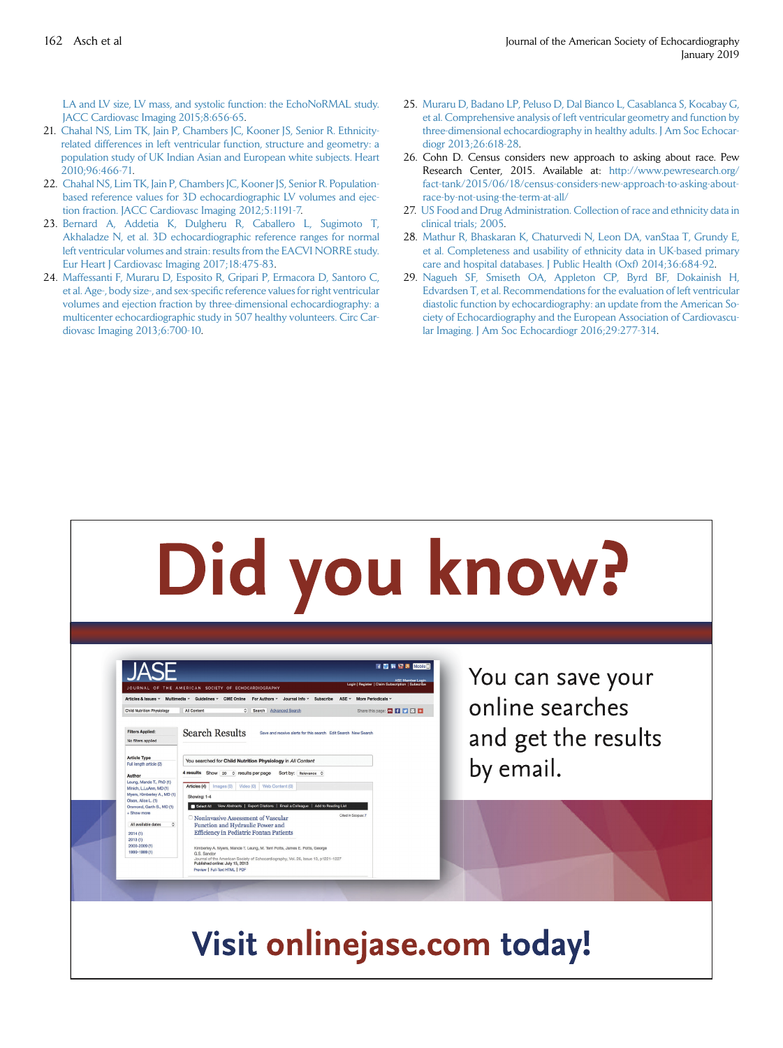<span id="page-5-0"></span>[LA and LV size, LV mass, and systolic function: the EchoNoRMAL study.](http://refhub.elsevier.com/S0894-7317(18)30573-X/sref16) [JACC Cardiovasc Imaging 2015;8:656-65](http://refhub.elsevier.com/S0894-7317(18)30573-X/sref16).

- 21. [Chahal NS, Lim TK, Jain P, Chambers JC, Kooner JS, Senior R. Ethnicity](http://refhub.elsevier.com/S0894-7317(18)30573-X/sref17)[related differences in left ventricular function, structure and geometry: a](http://refhub.elsevier.com/S0894-7317(18)30573-X/sref17) [population study of UK Indian Asian and European white subjects. Heart](http://refhub.elsevier.com/S0894-7317(18)30573-X/sref17) [2010;96:466-71.](http://refhub.elsevier.com/S0894-7317(18)30573-X/sref17)
- 22. [Chahal NS, Lim TK, Jain P, Chambers JC, Kooner JS, Senior R. Population](http://refhub.elsevier.com/S0894-7317(18)30573-X/sref18)[based reference values for 3D echocardiographic LV volumes and ejec](http://refhub.elsevier.com/S0894-7317(18)30573-X/sref18)[tion fraction. JACC Cardiovasc Imaging 2012;5:1191-7.](http://refhub.elsevier.com/S0894-7317(18)30573-X/sref18)
- 23. [Bernard A, Addetia K, Dulgheru R, Caballero L, Sugimoto T,](http://refhub.elsevier.com/S0894-7317(18)30573-X/sref19) [Akhaladze N, et al. 3D echocardiographic reference ranges for normal](http://refhub.elsevier.com/S0894-7317(18)30573-X/sref19) [left ventricular volumes and strain: results from the EACVI NORRE study.](http://refhub.elsevier.com/S0894-7317(18)30573-X/sref19) [Eur Heart J Cardiovasc Imaging 2017;18:475-83.](http://refhub.elsevier.com/S0894-7317(18)30573-X/sref19)
- 24. [Maffessanti F, Muraru D, Esposito R, Gripari P, Ermacora D, Santoro C,](http://refhub.elsevier.com/S0894-7317(18)30573-X/sref20) [et al. Age-, body size-, and sex-specific reference values for right ventricular](http://refhub.elsevier.com/S0894-7317(18)30573-X/sref20) [volumes and ejection fraction by three-dimensional echocardiography: a](http://refhub.elsevier.com/S0894-7317(18)30573-X/sref20) [multicenter echocardiographic study in 507 healthy volunteers. Circ Car](http://refhub.elsevier.com/S0894-7317(18)30573-X/sref20)[diovasc Imaging 2013;6:700-10](http://refhub.elsevier.com/S0894-7317(18)30573-X/sref20).
- 25. [Muraru D, Badano LP, Peluso D, Dal Bianco L, Casablanca S, Kocabay G,](http://refhub.elsevier.com/S0894-7317(18)30573-X/sref21) [et al. Comprehensive analysis of left ventricular geometry and function by](http://refhub.elsevier.com/S0894-7317(18)30573-X/sref21) [three-dimensional echocardiography in healthy adults. J Am Soc Echocar](http://refhub.elsevier.com/S0894-7317(18)30573-X/sref21)[diogr 2013;26:618-28.](http://refhub.elsevier.com/S0894-7317(18)30573-X/sref21)
- 26. Cohn D. Census considers new approach to asking about race. Pew Research Center, 2015. Available at: [http://www.pewresearch.org/](http://www.pewresearch.org/fact-tank/2015/06/18/census-considers-new-approach-to-asking-about-race-by-not-using-the-term-at-all/) [fact-tank/2015/06/18/census-considers-new-approach-to-asking-about](http://www.pewresearch.org/fact-tank/2015/06/18/census-considers-new-approach-to-asking-about-race-by-not-using-the-term-at-all/)[race-by-not-using-the-term-at-all/](http://www.pewresearch.org/fact-tank/2015/06/18/census-considers-new-approach-to-asking-about-race-by-not-using-the-term-at-all/)
- 27. [US Food and Drug Administration. Collection of race and ethnicity data in](http://refhub.elsevier.com/S0894-7317(18)30573-X/sref23) [clinical trials; 2005.](http://refhub.elsevier.com/S0894-7317(18)30573-X/sref23)
- 28. [Mathur R, Bhaskaran K, Chaturvedi N, Leon DA, vanStaa T, Grundy E,](http://refhub.elsevier.com/S0894-7317(18)30573-X/sref24) [et al. Completeness and usability of ethnicity data in UK-based primary](http://refhub.elsevier.com/S0894-7317(18)30573-X/sref24) [care and hospital databases. J Public Health \(Oxf\) 2014;36:684-92.](http://refhub.elsevier.com/S0894-7317(18)30573-X/sref24)
- 29. [Nagueh SF, Smiseth OA, Appleton CP, Byrd BF, Dokainish H,](http://refhub.elsevier.com/S0894-7317(18)30573-X/sref25) [Edvardsen T, et al. Recommendations for the evaluation of left ventricular](http://refhub.elsevier.com/S0894-7317(18)30573-X/sref25) [diastolic function by echocardiography: an update from the American So](http://refhub.elsevier.com/S0894-7317(18)30573-X/sref25)[ciety of Echocardiography and the European Association of Cardiovascu](http://refhub.elsevier.com/S0894-7317(18)30573-X/sref25)[lar Imaging. J Am Soc Echocardiogr 2016;29:277-314.](http://refhub.elsevier.com/S0894-7317(18)30573-X/sref25)

# Did you know? 2006-01 You can save your ICAN SOCIETY OF ECHOCAR CME Online For Authors v Jour ARE v More Deriodicale online searches C Search Advanced Search **ES ET ET ES DECEMBEN Filters Applier Search Results** and get the results Save and receive alerts for this search Edit Search New Search **Article Type**<br>Full length article (2) You searched for Child Nutrition Physiology in All Content by email. 4 results Show 20 c results per page Sort by: Relevance C Articles (4) Images (0) Video (0) Web Content (0) ung, Mande T., PhD (1)<br>nich, L.LuAnn, MD (1)<br>vers, Kimberley A., MD (1)<br>son, Alice L. (1)<br>smond, Garth S., MD (1) Select All View Abstracts | Export Citations | Email a Colleague | Add  $\label{lem:1}$  Noninvasive Assessment of Vascular<br>Function and Hydraulic Power and Efficiency in Pediatric Fontan Patients All available 2014 (1)<br>2013 (1) Kimberley A. Myers, Mande T. Leung, M. Terri Potts, James E. Potts, George<br>G.S. Sandor<br>Universitative American Pacifichi of Fahaneetingsrephy. Vol. 08, Incurs 10, pdf G.S. Sandor<br>Journal of the American Society of Echocardiography, Vol. 26, Issue 10, p1221–1227<br>Published online: July 15, 2013<br>Preview | Full-Text HTML | PDF Visit onlinejase.com today!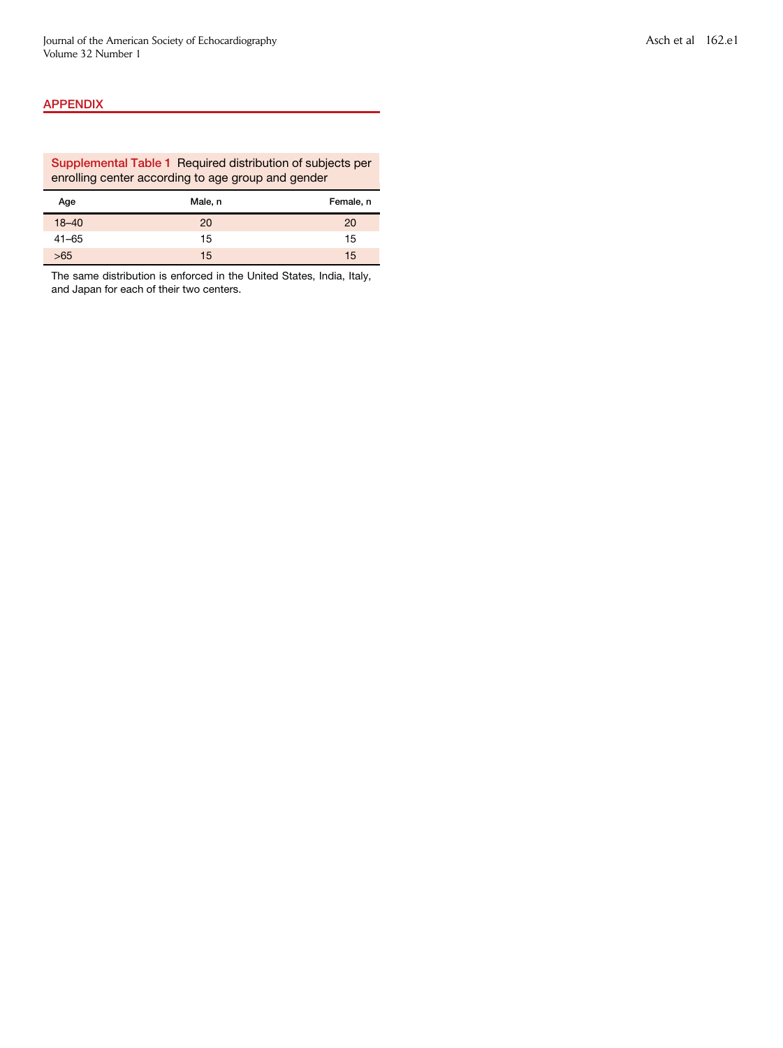## <span id="page-6-0"></span>APPENDIX

Supplemental Table 1 Required distribution of subjects per enrolling center according to age group and gender

| Age       | Male, n | Female, n |
|-----------|---------|-----------|
| $18 - 40$ | 20      | 20        |
| $41 - 65$ | 15      | 15        |
| >65       | 15      | 15        |

The same distribution is enforced in the United States, India, Italy, and Japan for each of their two centers.